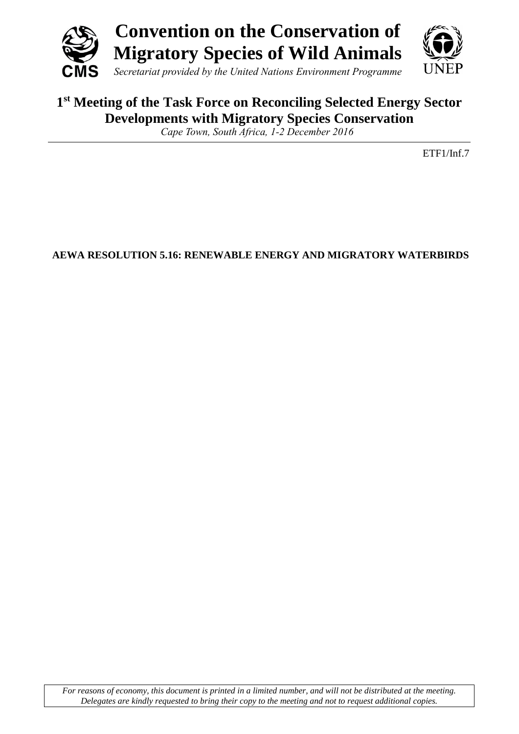



## **1 st Meeting of the Task Force on Reconciling Selected Energy Sector Developments with Migratory Species Conservation**

*Cape Town, South Africa, 1-2 December 2016*

ETF1/Inf.7

**AEWA RESOLUTION 5.16: RENEWABLE ENERGY AND MIGRATORY WATERBIRDS**

*For reasons of economy, this document is printed in a limited number, and will not be distributed at the meeting. Delegates are kindly requested to bring their copy to the meeting and not to request additional copies.*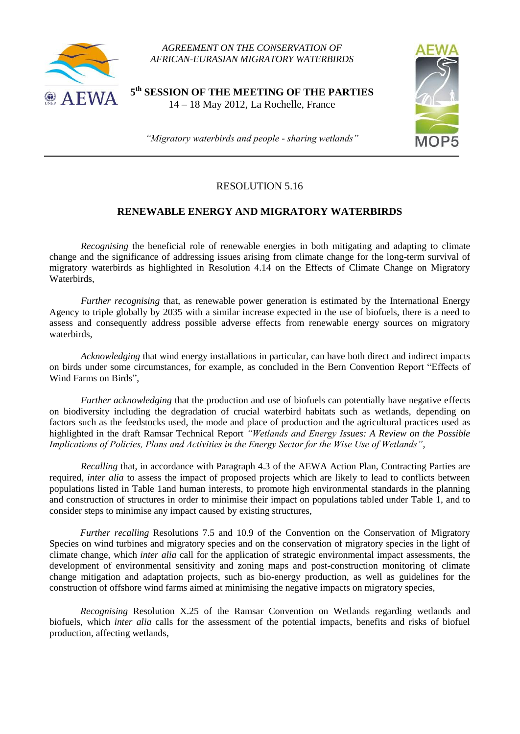

*AGREEMENT ON THE CONSERVATION OF AFRICAN-EURASIAN MIGRATORY WATERBIRDS*

**5 th SESSION OF THE MEETING OF THE PARTIES** 14 – 18 May 2012, La Rochelle, France



*"Migratory waterbirds and people - sharing wetlands"*

## RESOLUTION 5.16

## **RENEWABLE ENERGY AND MIGRATORY WATERBIRDS**

*Recognising* the beneficial role of renewable energies in both mitigating and adapting to climate change and the significance of addressing issues arising from climate change for the long-term survival of migratory waterbirds as highlighted in Resolution 4.14 on the Effects of Climate Change on Migratory Waterbirds,

*Further recognising* that, as renewable power generation is estimated by the International Energy Agency to triple globally by 2035 with a similar increase expected in the use of biofuels, there is a need to assess and consequently address possible adverse effects from renewable energy sources on migratory waterbirds,

*Acknowledging* that wind energy installations in particular, can have both direct and indirect impacts on birds under some circumstances, for example, as concluded in the Bern Convention Report "Effects of Wind Farms on Birds",

*Further acknowledging* that the production and use of biofuels can potentially have negative effects on biodiversity including the degradation of crucial waterbird habitats such as wetlands, depending on factors such as the feedstocks used, the mode and place of production and the agricultural practices used as highlighted in the draft Ramsar Technical Report *"Wetlands and Energy Issues: A Review on the Possible Implications of Policies, Plans and Activities in the Energy Sector for the Wise Use of Wetlands",*

*Recalling* that, in accordance with Paragraph 4.3 of the AEWA Action Plan, Contracting Parties are required, *inter alia* to assess the impact of proposed projects which are likely to lead to conflicts between populations listed in Table 1and human interests, to promote high environmental standards in the planning and construction of structures in order to minimise their impact on populations tabled under Table 1, and to consider steps to minimise any impact caused by existing structures,

*Further recalling* Resolutions 7.5 and 10.9 of the Convention on the Conservation of Migratory Species on wind turbines and migratory species and on the conservation of migratory species in the light of climate change, which *inter alia* call for the application of strategic environmental impact assessments, the development of environmental sensitivity and zoning maps and post-construction monitoring of climate change mitigation and adaptation projects, such as bio-energy production, as well as guidelines for the construction of offshore wind farms aimed at minimising the negative impacts on migratory species,

*Recognising* Resolution X.25 of the Ramsar Convention on Wetlands regarding wetlands and biofuels, which *inter alia* calls for the assessment of the potential impacts, benefits and risks of biofuel production, affecting wetlands,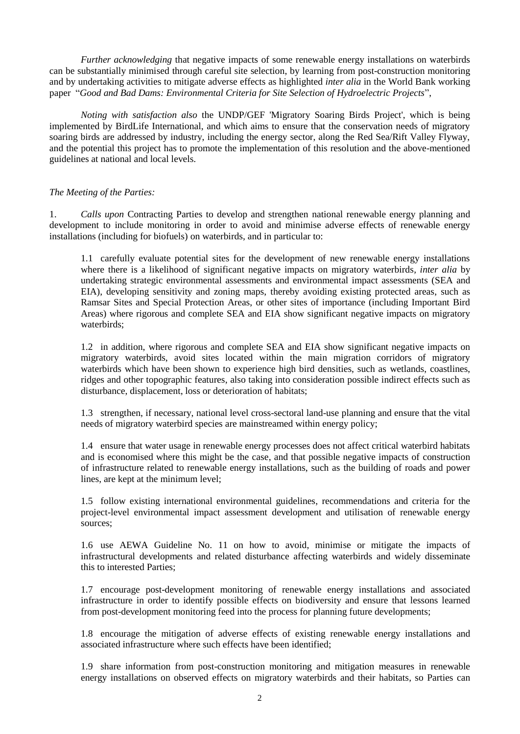*Further acknowledging* that negative impacts of some renewable energy installations on waterbirds can be substantially minimised through careful site selection, by learning from post-construction monitoring and by undertaking activities to mitigate adverse effects as highlighted *inter alia* in the World Bank working paper "*Good and Bad Dams: Environmental Criteria for Site Selection of Hydroelectric Projects*",

*Noting with satisfaction also* the UNDP/GEF 'Migratory Soaring Birds Project', which is being implemented by BirdLife International, and which aims to ensure that the conservation needs of migratory soaring birds are addressed by industry, including the energy sector, along the Red Sea/Rift Valley Flyway, and the potential this project has to promote the implementation of this resolution and the above-mentioned guidelines at national and local levels.

## *The Meeting of the Parties:*

1. *Calls upon* Contracting Parties to develop and strengthen national renewable energy planning and development to include monitoring in order to avoid and minimise adverse effects of renewable energy installations (including for biofuels) on waterbirds, and in particular to:

1.1 carefully evaluate potential sites for the development of new renewable energy installations where there is a likelihood of significant negative impacts on migratory waterbirds*, inter alia* by undertaking strategic environmental assessments and environmental impact assessments (SEA and EIA), developing sensitivity and zoning maps, thereby avoiding existing protected areas, such as Ramsar Sites and Special Protection Areas, or other sites of importance (including Important Bird Areas) where rigorous and complete SEA and EIA show significant negative impacts on migratory waterbirds;

1.2 in addition, where rigorous and complete SEA and EIA show significant negative impacts on migratory waterbirds, avoid sites located within the main migration corridors of migratory waterbirds which have been shown to experience high bird densities, such as wetlands, coastlines, ridges and other topographic features, also taking into consideration possible indirect effects such as disturbance, displacement, loss or deterioration of habitats;

1.3 strengthen, if necessary, national level cross-sectoral land-use planning and ensure that the vital needs of migratory waterbird species are mainstreamed within energy policy;

1.4 ensure that water usage in renewable energy processes does not affect critical waterbird habitats and is economised where this might be the case, and that possible negative impacts of construction of infrastructure related to renewable energy installations, such as the building of roads and power lines, are kept at the minimum level;

1.5 follow existing international environmental guidelines, recommendations and criteria for the project-level environmental impact assessment development and utilisation of renewable energy sources;

1.6 use AEWA Guideline No. 11 on how to avoid, minimise or mitigate the impacts of infrastructural developments and related disturbance affecting waterbirds and widely disseminate this to interested Parties;

1.7 encourage post-development monitoring of renewable energy installations and associated infrastructure in order to identify possible effects on biodiversity and ensure that lessons learned from post-development monitoring feed into the process for planning future developments;

1.8 encourage the mitigation of adverse effects of existing renewable energy installations and associated infrastructure where such effects have been identified;

1.9 share information from post-construction monitoring and mitigation measures in renewable energy installations on observed effects on migratory waterbirds and their habitats, so Parties can